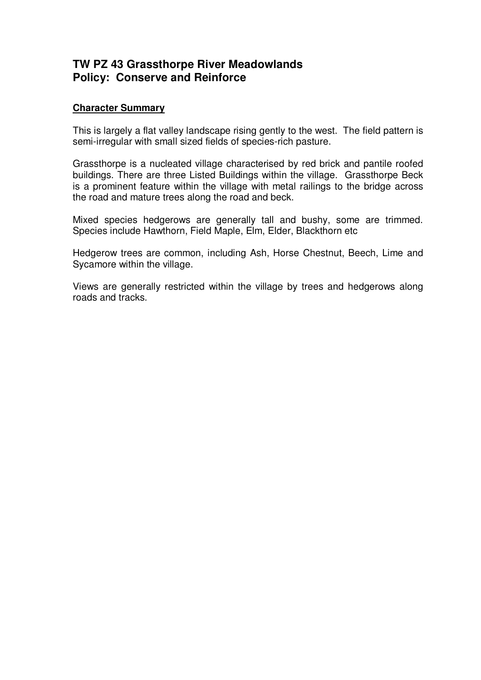## **TW PZ 43 Grassthorpe River Meadowlands Policy: Conserve and Reinforce**

## **Character Summary**

This is largely a flat valley landscape rising gently to the west. The field pattern is semi-irregular with small sized fields of species-rich pasture.

Grassthorpe is a nucleated village characterised by red brick and pantile roofed buildings. There are three Listed Buildings within the village. Grassthorpe Beck is a prominent feature within the village with metal railings to the bridge across the road and mature trees along the road and beck.

Mixed species hedgerows are generally tall and bushy, some are trimmed. Species include Hawthorn, Field Maple, Elm, Elder, Blackthorn etc

Hedgerow trees are common, including Ash, Horse Chestnut, Beech, Lime and Sycamore within the village.

Views are generally restricted within the village by trees and hedgerows along roads and tracks.